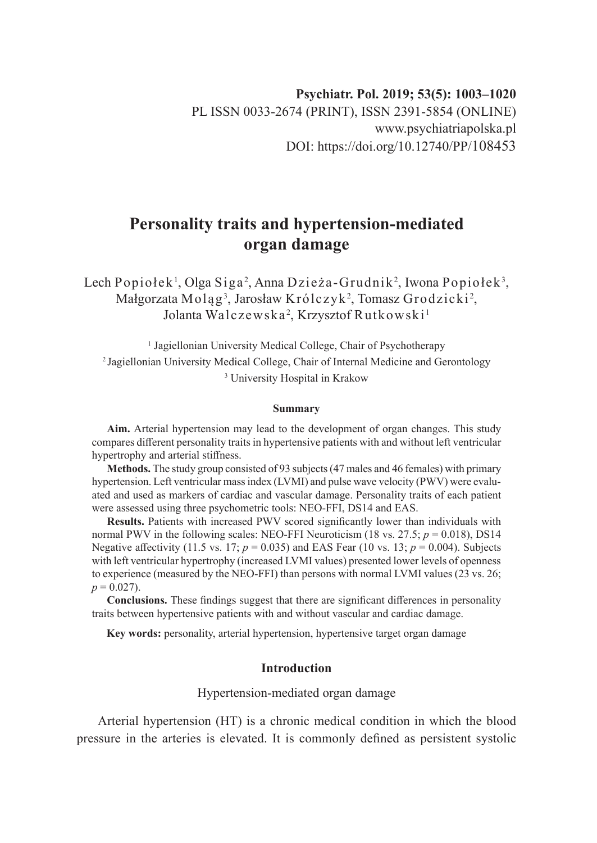# **Personality traits and hypertension-mediated organ damage**

Lech Popiołek<sup>1</sup>, Olga Siga<sup>2</sup>, Anna Dzieża-Grudnik<sup>2</sup>, Iwona Popiołek<sup>3</sup>, Małgorzata Moląg $^3$ , Jarosław Królczyk $^2$ , Tomasz Grodzicki $^2$ , Jolanta Walczewska<sup>2</sup>, Krzysztof Rutkowski<sup>1</sup>

<sup>1</sup> Jagiellonian University Medical College, Chair of Psychotherapy <sup>2</sup>Jagiellonian University Medical College, Chair of Internal Medicine and Gerontology 3 University Hospital in Krakow

#### **Summary**

**Aim.** Arterial hypertension may lead to the development of organ changes. This study compares different personality traits in hypertensive patients with and without left ventricular hypertrophy and arterial stiffness.

**Methods.** The study group consisted of 93 subjects (47 males and 46 females) with primary hypertension. Left ventricular mass index (LVMI) and pulse wave velocity (PWV) were evaluated and used as markers of cardiac and vascular damage. Personality traits of each patient were assessed using three psychometric tools: NEO-FFI, DS14 and EAS.

**Results.** Patients with increased PWV scored significantly lower than individuals with normal PWV in the following scales: NEO-FFI Neuroticism (18 vs. 27.5;  $p = 0.018$ ), DS14 Negative affectivity (11.5 vs. 17; *p* = 0.035) and EAS Fear (10 vs. 13; *p* = 0.004). Subjects with left ventricular hypertrophy (increased LVMI values) presented lower levels of openness to experience (measured by the NEO-FFI) than persons with normal LVMI values (23 vs. 26;  $p = 0.027$ .

**Conclusions.** These findings suggest that there are significant differences in personality traits between hypertensive patients with and without vascular and cardiac damage.

**Key words:** personality, arterial hypertension, hypertensive target organ damage

#### **Introduction**

## Hypertension-mediated organ damage

Arterial hypertension (HT) is a chronic medical condition in which the blood pressure in the arteries is elevated. It is commonly defined as persistent systolic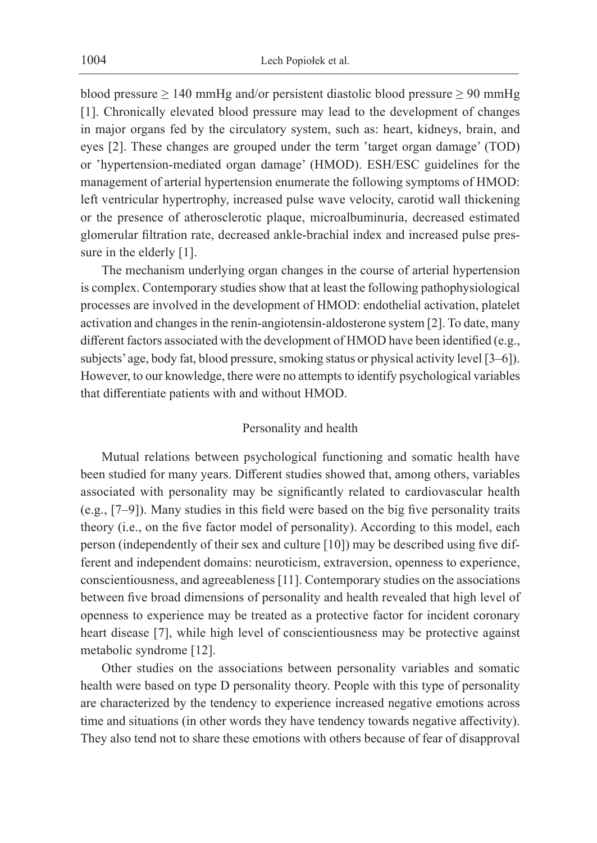blood pressure  $\geq 140$  mmHg and/or persistent diastolic blood pressure  $\geq 90$  mmHg [1]. Chronically elevated blood pressure may lead to the development of changes in major organs fed by the circulatory system, such as: heart, kidneys, brain, and eyes [2]. These changes are grouped under the term 'target organ damage' (TOD) or 'hypertension-mediated organ damage' (HMOD). ESH/ESC guidelines for the management of arterial hypertension enumerate the following symptoms of HMOD: left ventricular hypertrophy, increased pulse wave velocity, carotid wall thickening or the presence of atherosclerotic plaque, microalbuminuria, decreased estimated glomerular filtration rate, decreased ankle-brachial index and increased pulse pressure in the elderly [1].

The mechanism underlying organ changes in the course of arterial hypertension is complex. Contemporary studies show that at least the following pathophysiological processes are involved in the development of HMOD: endothelial activation, platelet activation and changes in the renin-angiotensin-aldosterone system [2]. To date, many different factors associated with the development of HMOD have been identified (e.g., subjects' age, body fat, blood pressure, smoking status or physical activity level [3–6]). However, to our knowledge, there were no attempts to identify psychological variables that differentiate patients with and without HMOD.

#### Personality and health

Mutual relations between psychological functioning and somatic health have been studied for many years. Different studies showed that, among others, variables associated with personality may be significantly related to cardiovascular health (e.g., [7–9]). Many studies in this field were based on the big five personality traits theory (i.e., on the five factor model of personality). According to this model, each person (independently of their sex and culture [10]) may be described using five different and independent domains: neuroticism, extraversion, openness to experience, conscientiousness, and agreeableness [11]. Contemporary studies on the associations between five broad dimensions of personality and health revealed that high level of openness to experience may be treated as a protective factor for incident coronary heart disease [7], while high level of conscientiousness may be protective against metabolic syndrome [12].

Other studies on the associations between personality variables and somatic health were based on type D personality theory. People with this type of personality are characterized by the tendency to experience increased negative emotions across time and situations (in other words they have tendency towards negative affectivity). They also tend not to share these emotions with others because of fear of disapproval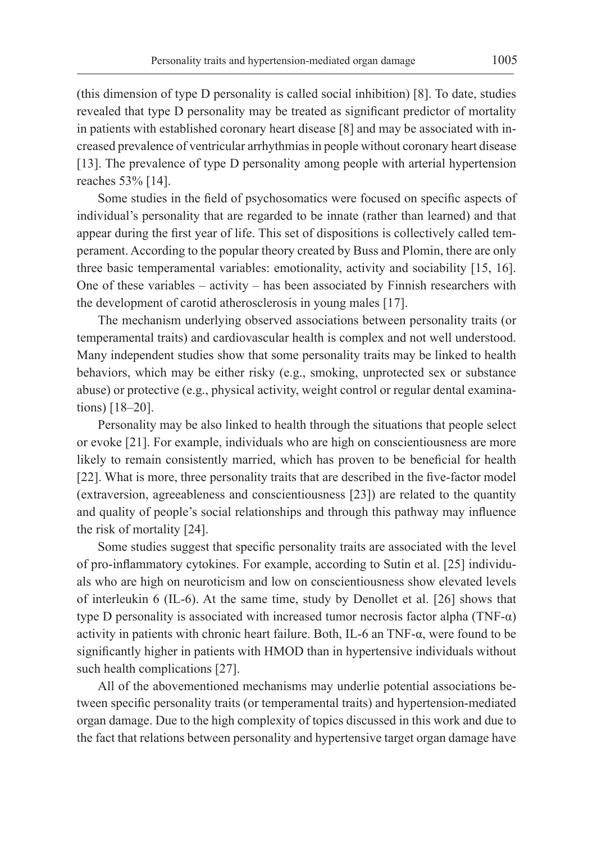(this dimension of type D personality is called social inhibition) [8]. To date, studies revealed that type D personality may be treated as significant predictor of mortality in patients with established coronary heart disease [8] and may be associated with increased prevalence of ventricular arrhythmias in people without coronary heart disease [13]. The prevalence of type D personality among people with arterial hypertension reaches 53% [14].

Some studies in the field of psychosomatics were focused on specific aspects of individual's personality that are regarded to be innate (rather than learned) and that appear during the first year of life. This set of dispositions is collectively called temperament. According to the popular theory created by Buss and Plomin, there are only three basic temperamental variables: emotionality, activity and sociability [15, 16]. One of these variables – activity – has been associated by Finnish researchers with the development of carotid atherosclerosis in young males [17].

The mechanism underlying observed associations between personality traits (or temperamental traits) and cardiovascular health is complex and not well understood. Many independent studies show that some personality traits may be linked to health behaviors, which may be either risky (e.g., smoking, unprotected sex or substance abuse) or protective (e.g., physical activity, weight control or regular dental examinations) [18–20].

Personality may be also linked to health through the situations that people select or evoke [21]. For example, individuals who are high on conscientiousness are more likely to remain consistently married, which has proven to be beneficial for health [22]. What is more, three personality traits that are described in the five-factor model (extraversion, agreeableness and conscientiousness [23]) are related to the quantity and quality of people's social relationships and through this pathway may influence the risk of mortality [24].

Some studies suggest that specific personality traits are associated with the level of pro-inflammatory cytokines. For example, according to Sutin et al. [25] individuals who are high on neuroticism and low on conscientiousness show elevated levels of interleukin 6 (IL-6). At the same time, study by Denollet et al. [26] shows that type D personality is associated with increased tumor necrosis factor alpha (TNF- $\alpha$ ) activity in patients with chronic heart failure. Both, IL-6 an TNF-α, were found to be significantly higher in patients with HMOD than in hypertensive individuals without such health complications [27].

All of the abovementioned mechanisms may underlie potential associations between specific personality traits (or temperamental traits) and hypertension-mediated organ damage. Due to the high complexity of topics discussed in this work and due to the fact that relations between personality and hypertensive target organ damage have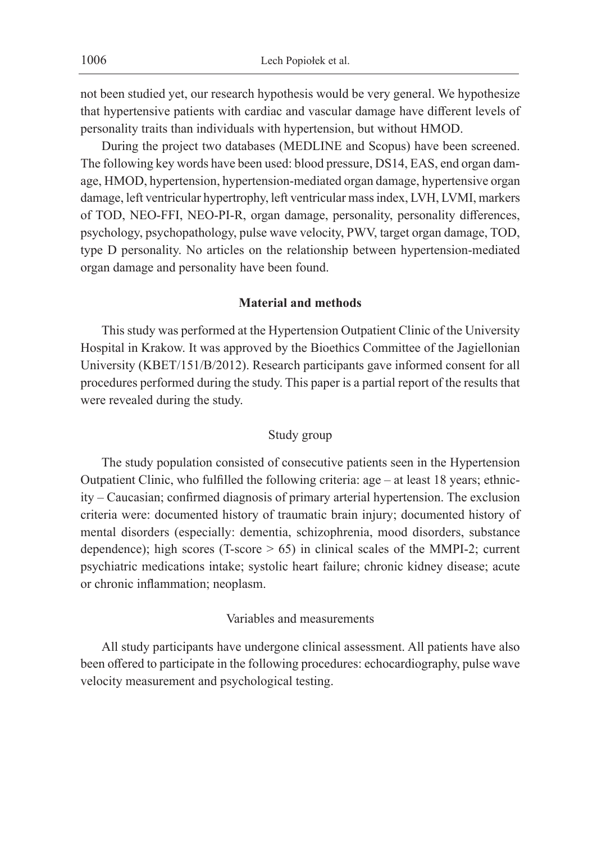not been studied yet, our research hypothesis would be very general. We hypothesize that hypertensive patients with cardiac and vascular damage have different levels of personality traits than individuals with hypertension, but without HMOD.

During the project two databases (MEDLINE and Scopus) have been screened. The following key words have been used: blood pressure, DS14, EAS, end organ damage, HMOD, hypertension, hypertension-mediated organ damage, hypertensive organ damage, left ventricular hypertrophy, left ventricular mass index, LVH, LVMI, markers of TOD, NEO-FFI, NEO-PI-R, organ damage, personality, personality differences, psychology, psychopathology, pulse wave velocity, PWV, target organ damage, TOD, type D personality. No articles on the relationship between hypertension-mediated organ damage and personality have been found.

## **Material and methods**

This study was performed at the Hypertension Outpatient Clinic of the University Hospital in Krakow. It was approved by the Bioethics Committee of the Jagiellonian University (KBET/151/B/2012). Research participants gave informed consent for all procedures performed during the study. This paper is a partial report of the results that were revealed during the study.

#### Study group

The study population consisted of consecutive patients seen in the Hypertension Outpatient Clinic, who fulfilled the following criteria: age – at least 18 years; ethnicity – Caucasian; confirmed diagnosis of primary arterial hypertension. The exclusion criteria were: documented history of traumatic brain injury; documented history of mental disorders (especially: dementia, schizophrenia, mood disorders, substance dependence); high scores (T-score  $> 65$ ) in clinical scales of the MMPI-2; current psychiatric medications intake; systolic heart failure; chronic kidney disease; acute or chronic inflammation; neoplasm.

### Variables and measurements

All study participants have undergone clinical assessment. All patients have also been offered to participate in the following procedures: echocardiography, pulse wave velocity measurement and psychological testing.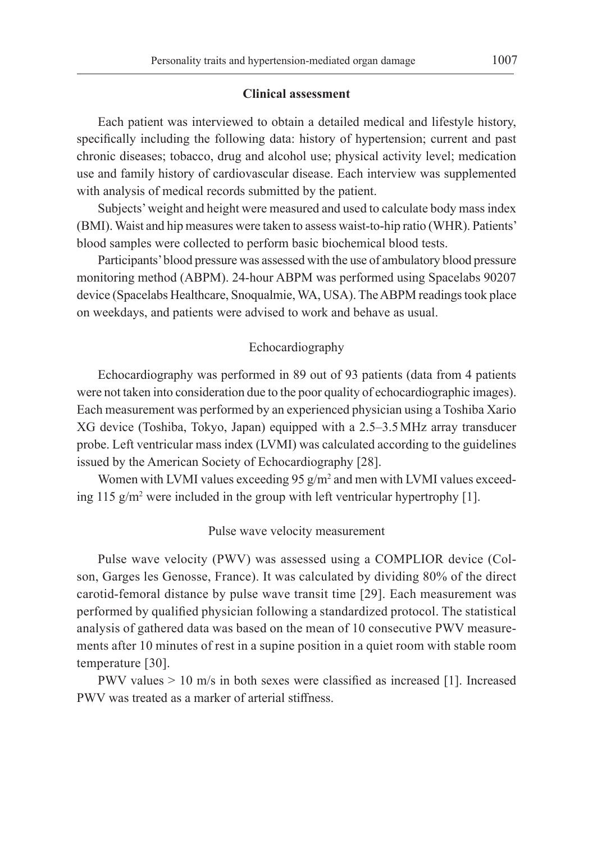#### **Clinical assessment**

Each patient was interviewed to obtain a detailed medical and lifestyle history, specifically including the following data: history of hypertension; current and past chronic diseases; tobacco, drug and alcohol use; physical activity level; medication use and family history of cardiovascular disease. Each interview was supplemented with analysis of medical records submitted by the patient.

Subjects' weight and height were measured and used to calculate body mass index (BMI). Waist and hip measures were taken to assess waist-to-hip ratio (WHR). Patients' blood samples were collected to perform basic biochemical blood tests.

Participants' blood pressure was assessed with the use of ambulatory blood pressure monitoring method (ABPM). 24-hour ABPM was performed using Spacelabs 90207 device (Spacelabs Healthcare, Snoqualmie, WA, USA). The ABPM readings took place on weekdays, and patients were advised to work and behave as usual.

## Echocardiography

Echocardiography was performed in 89 out of 93 patients (data from 4 patients were not taken into consideration due to the poor quality of echocardiographic images). Each measurement was performed by an experienced physician using a Toshiba Xario XG device (Toshiba, Tokyo, Japan) equipped with a 2.5–3.5MHz array transducer probe. Left ventricular mass index (LVMI) was calculated according to the guidelines issued by the American Society of Echocardiography [28].

Women with LVMI values exceeding  $95 \text{ g/m}^2$  and men with LVMI values exceeding 115  $g/m^2$  were included in the group with left ventricular hypertrophy [1].

#### Pulse wave velocity measurement

Pulse wave velocity (PWV) was assessed using a COMPLIOR device (Colson, Garges les Genosse, France). It was calculated by dividing 80% of the direct carotid-femoral distance by pulse wave transit time [29]. Each measurement was performed by qualified physician following a standardized protocol. The statistical analysis of gathered data was based on the mean of 10 consecutive PWV measurements after 10 minutes of rest in a supine position in a quiet room with stable room temperature [30].

PWV values > 10 m/s in both sexes were classified as increased [1]. Increased PWV was treated as a marker of arterial stiffness.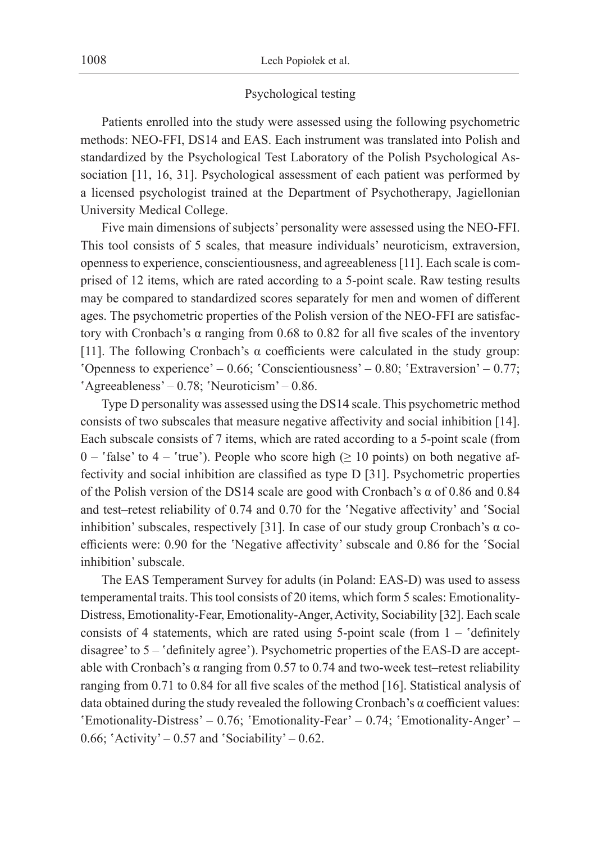### Psychological testing

Patients enrolled into the study were assessed using the following psychometric methods: NEO-FFI, DS14 and EAS. Each instrument was translated into Polish and standardized by the Psychological Test Laboratory of the Polish Psychological Association [11, 16, 31]. Psychological assessment of each patient was performed by a licensed psychologist trained at the Department of Psychotherapy, Jagiellonian University Medical College.

Five main dimensions of subjects' personality were assessed using the NEO-FFI. This tool consists of 5 scales, that measure individuals' neuroticism, extraversion, openness to experience, conscientiousness, and agreeableness [11]. Each scale is comprised of 12 items, which are rated according to a 5-point scale. Raw testing results may be compared to standardized scores separately for men and women of different ages. The psychometric properties of the Polish version of the NEO-FFI are satisfactory with Cronbach's α ranging from  $0.68$  to  $0.82$  for all five scales of the inventory [11]. The following Cronbach's  $\alpha$  coefficients were calculated in the study group: 'Openness to experience' – 0.66; 'Conscientiousness' – 0.80; 'Extraversion' – 0.77; 'Agreeableness' – 0.78; 'Neuroticism' – 0.86.

Type D personality was assessed using the DS14 scale. This psychometric method consists of two subscales that measure negative affectivity and social inhibition [14]. Each subscale consists of 7 items, which are rated according to a 5-point scale (from 0 – 'false' to 4 – 'true'). People who score high ( $\geq$  10 points) on both negative affectivity and social inhibition are classified as type D [31]. Psychometric properties of the Polish version of the DS14 scale are good with Cronbach's  $\alpha$  of 0.86 and 0.84 and test–retest reliability of 0.74 and 0.70 for the 'Negative affectivity' and 'Social inhibition' subscales, respectively [31]. In case of our study group Cronbach's α coefficients were: 0.90 for the 'Negative affectivity' subscale and 0.86 for the 'Social inhibition' subscale.

The EAS Temperament Survey for adults (in Poland: EAS-D) was used to assess temperamental traits. This tool consists of 20 items, which form 5 scales: Emotionality-Distress, Emotionality-Fear, Emotionality-Anger, Activity, Sociability [32]. Each scale consists of 4 statements, which are rated using 5-point scale (from  $1 -$  definitely disagree' to 5 – 'definitely agree'). Psychometric properties of the EAS-D are acceptable with Cronbach's  $\alpha$  ranging from 0.57 to 0.74 and two-week test–retest reliability ranging from 0.71 to 0.84 for all five scales of the method [16]. Statistical analysis of data obtained during the study revealed the following Cronbach's  $\alpha$  coefficient values: 'Emotionality-Distress' – 0.76; 'Emotionality-Fear' – 0.74; 'Emotionality-Anger' – 0.66; 'Activity' – 0.57 and 'Sociability' – 0.62.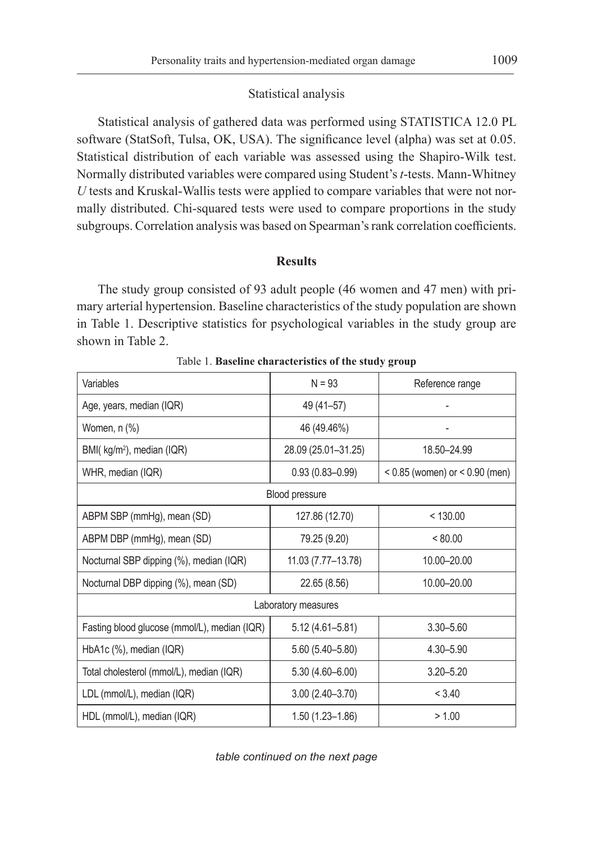#### Statistical analysis

Statistical analysis of gathered data was performed using STATISTICA 12.0 PL software (StatSoft, Tulsa, OK, USA). The significance level (alpha) was set at 0.05. Statistical distribution of each variable was assessed using the Shapiro-Wilk test. Normally distributed variables were compared using Student's *t*-tests. Mann-Whitney *U* tests and Kruskal-Wallis tests were applied to compare variables that were not normally distributed. Chi-squared tests were used to compare proportions in the study subgroups. Correlation analysis was based on Spearman's rank correlation coefficients.

## **Results**

The study group consisted of 93 adult people (46 women and 47 men) with primary arterial hypertension. Baseline characteristics of the study population are shown in Table 1. Descriptive statistics for psychological variables in the study group are shown in Table 2.

| Variables                                    | $N = 93$            | Reference range                    |
|----------------------------------------------|---------------------|------------------------------------|
| Age, years, median (IQR)                     | 49 (41-57)          |                                    |
| Women, n (%)                                 | 46 (49.46%)         |                                    |
| BMI( kg/m <sup>2</sup> ), median (IQR)       | 28.09 (25.01-31.25) | 18.50-24.99                        |
| WHR, median (IQR)                            | $0.93(0.83 - 0.99)$ | $< 0.85$ (women) or $< 0.90$ (men) |
|                                              | Blood pressure      |                                    |
| ABPM SBP (mmHg), mean (SD)                   | 127.86 (12.70)      | < 130.00                           |
| ABPM DBP (mmHg), mean (SD)                   | 79.25 (9.20)        | < 80.00                            |
| Nocturnal SBP dipping (%), median (IQR)      | 11.03 (7.77-13.78)  | 10.00-20.00                        |
| Nocturnal DBP dipping (%), mean (SD)         | 22.65 (8.56)        | 10.00-20.00                        |
|                                              | Laboratory measures |                                    |
| Fasting blood glucose (mmol/L), median (IQR) | $5.12(4.61 - 5.81)$ | 3.30-5.60                          |
| HbA1c (%), median (IQR)                      | 5.60 (5.40-5.80)    | 4.30-5.90                          |
| Total cholesterol (mmol/L), median (IQR)     | $5.30(4.60 - 6.00)$ | $3.20 - 5.20$                      |
| LDL (mmol/L), median (IQR)                   | $3.00(2.40 - 3.70)$ | < 3.40                             |
| HDL (mmol/L), median (IQR)                   | $1.50(1.23 - 1.86)$ | > 1.00                             |

Table 1. **Baseline characteristics of the study group**

*table continued on the next page*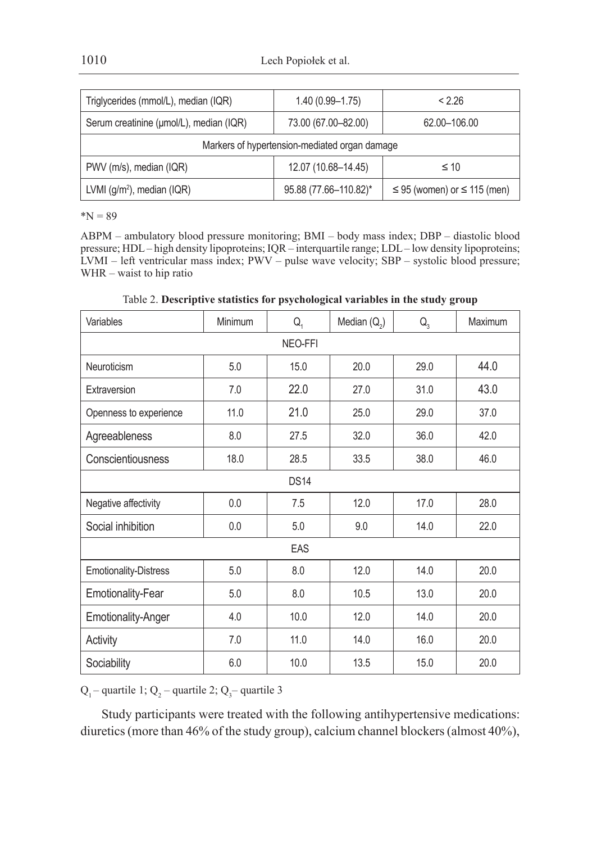| Triglycerides (mmol/L), median (IQR)          | $1.40(0.99 - 1.75)$   | < 2.26                                |  |  |  |  |  |
|-----------------------------------------------|-----------------------|---------------------------------------|--|--|--|--|--|
| Serum creatinine (µmol/L), median (IQR)       | 73.00 (67.00-82.00)   | 62.00-106.00                          |  |  |  |  |  |
| Markers of hypertension-mediated organ damage |                       |                                       |  |  |  |  |  |
| PWV (m/s), median (IQR)                       | 12.07 (10.68-14.45)   | $\leq 10$                             |  |  |  |  |  |
| LVMI $(g/m^2)$ , median (IQR)                 | 95.88 (77.66-110.82)* | $\leq$ 95 (women) or $\leq$ 115 (men) |  |  |  |  |  |

 $N = 89$ 

ABPM – ambulatory blood pressure monitoring; BMI – body mass index; DBP – diastolic blood pressure; HDL – high density lipoproteins; IQR – interquartile range; LDL – low density lipoproteins; LVMI – left ventricular mass index; PWV – pulse wave velocity; SBP – systolic blood pressure; WHR – waist to hip ratio

Table 2. **Descriptive statistics for psychological variables in the study group**

| Variables              | Minimum | $Q_{1}$ | Median $(Q_2)$ | $Q_{3}$ | Maximum |  |
|------------------------|---------|---------|----------------|---------|---------|--|
| NEO-FFI                |         |         |                |         |         |  |
| Neuroticism            | 5.0     | 15.0    | 20.0           | 29.0    | 44.0    |  |
| Extraversion           | 7.0     | 22.0    | 27.0           | 31.0    | 43.0    |  |
| Openness to experience | 11.0    | 21.0    | 25.0           | 29.0    | 37.0    |  |
| Agreeableness          | 8.0     | 27.5    | 32.0           | 36.0    | 42.0    |  |
| Conscientiousness      | 18.0    | 28.5    | 33.5           | 38.0    | 46.0    |  |
| <b>DS14</b>            |         |         |                |         |         |  |
| Negative affectivity   | 0.0     | 7.5     | 12.0           | 17.0    | 28.0    |  |
| Social inhibition      | 0.0     | 5.0     | 9.0            | 14.0    | 22.0    |  |
|                        |         | EAS     |                |         |         |  |
| Emotionality-Distress  | 5.0     | 8.0     | 12.0           | 14.0    | 20.0    |  |
| Emotionality-Fear      | 5.0     | 8.0     | 10.5           | 13.0    | 20.0    |  |
| Emotionality-Anger     | 4.0     | 10.0    | 12.0           | 14.0    | 20.0    |  |
| Activity               | 7.0     | 11.0    | 14.0           | 16.0    | 20.0    |  |
| Sociability            | 6.0     | 10.0    | 13.5           | 15.0    | 20.0    |  |

 $Q_1$ – quartile 1;  $Q_2$ – quartile 2;  $Q_3$ – quartile 3

Study participants were treated with the following antihypertensive medications: diuretics (more than 46% of the study group), calcium channel blockers (almost 40%),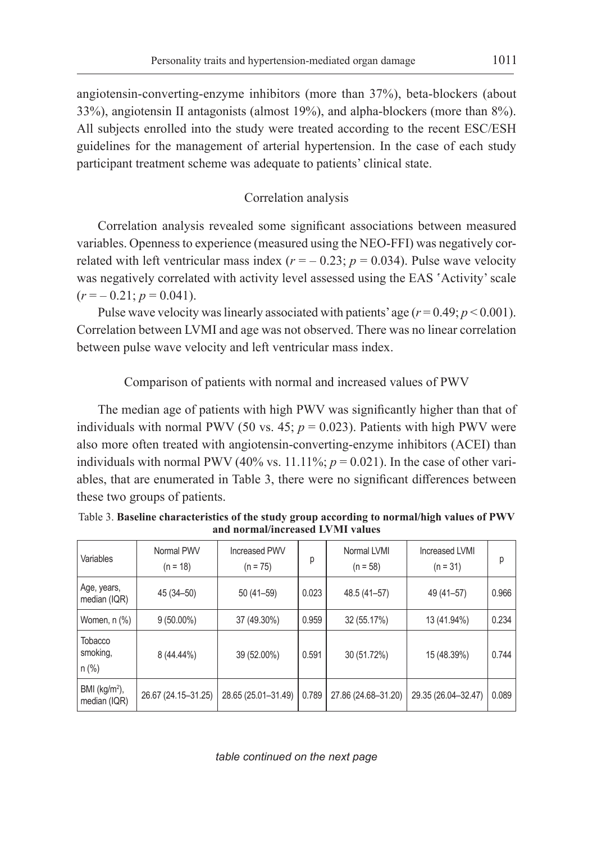angiotensin-converting-enzyme inhibitors (more than 37%), beta-blockers (about 33%), angiotensin II antagonists (almost 19%), and alpha-blockers (more than 8%). All subjects enrolled into the study were treated according to the recent ESC/ESH guidelines for the management of arterial hypertension. In the case of each study participant treatment scheme was adequate to patients' clinical state.

## Correlation analysis

Correlation analysis revealed some significant associations between measured variables. Openness to experience (measured using the NEO-FFI) was negatively correlated with left ventricular mass index  $(r = -0.23; p = 0.034)$ . Pulse wave velocity was negatively correlated with activity level assessed using the EAS 'Activity' scale  $(r = -0.21; p = 0.041).$ 

Pulse wave velocity was linearly associated with patients' age  $(r=0.49; p<0.001)$ . Correlation between LVMI and age was not observed. There was no linear correlation between pulse wave velocity and left ventricular mass index.

# Comparison of patients with normal and increased values of PWV

The median age of patients with high PWV was significantly higher than that of individuals with normal PWV (50 vs. 45;  $p = 0.023$ ). Patients with high PWV were also more often treated with angiotensin-converting-enzyme inhibitors (ACEI) than individuals with normal PWV (40% vs.  $11.11\%$ ;  $p = 0.021$ ). In the case of other variables, that are enumerated in Table 3, there were no significant differences between these two groups of patients.

| Variables                       | Normal PWV<br>$(n = 18)$ | <b>Increased PWV</b><br>$(n = 75)$ | р     | Normal LVMI<br>$(n = 58)$ | <b>Increased LVMI</b><br>$(n = 31)$ | р     |
|---------------------------------|--------------------------|------------------------------------|-------|---------------------------|-------------------------------------|-------|
| Age, years,<br>median (IQR)     | 45 (34 - 50)             | 50 (41-59)                         | 0.023 | 48.5 (41-57)              | 49 (41-57)                          | 0.966 |
| Women, n (%)                    | $9(50.00\%)$             | 37 (49.30%)                        | 0.959 | 32 (55.17%)               | 13 (41.94%)                         | 0.234 |
| Tobacco<br>smoking,<br>n (%)    | 8 (44.44%)               | 39 (52.00%)                        | 0.591 | 30 (51.72%)               | 15 (48.39%)                         | 0.744 |
| $BMI (kg/m2)$ ,<br>median (IQR) | 26.67 (24.15-31.25)      | 28.65 (25.01-31.49)                | 0.789 | 27.86 (24.68-31.20)       | 29.35 (26.04-32.47)                 | 0.089 |

Table 3. **Baseline characteristics of the study group according to normal/high values of PWV and normal/increased LVMI values**

*table continued on the next page*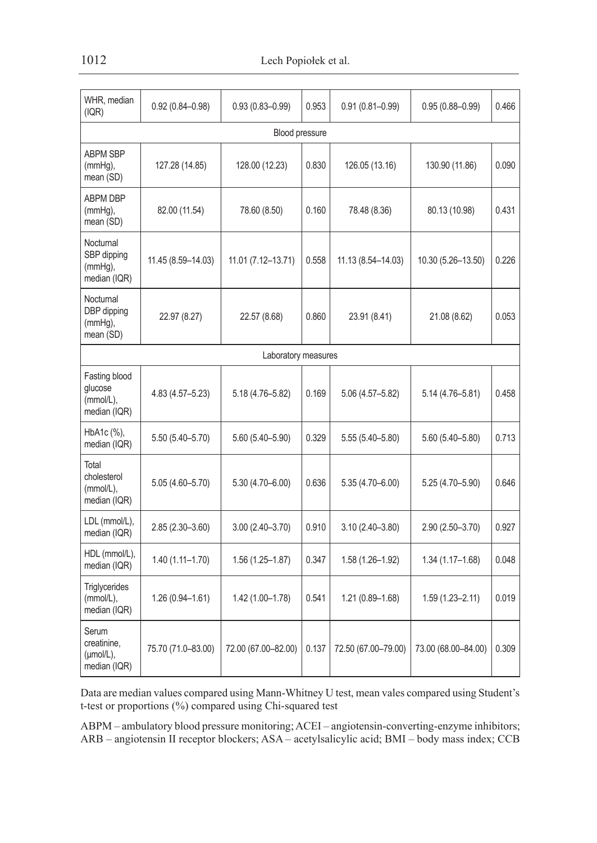| WHR, median<br>(IQR)                                           | $0.92(0.84 - 0.98)$ | $0.93(0.83 - 0.99)$ | 0.953 | $0.91(0.81 - 0.99)$ | $0.95(0.88 - 0.99)$ | 0.466 |  |  |
|----------------------------------------------------------------|---------------------|---------------------|-------|---------------------|---------------------|-------|--|--|
| Blood pressure                                                 |                     |                     |       |                     |                     |       |  |  |
| <b>ABPM SBP</b><br>$(mmHg)$ ,<br>mean (SD)                     | 127.28 (14.85)      | 128.00 (12.23)      | 0.830 | 126.05 (13.16)      | 130.90 (11.86)      | 0.090 |  |  |
| <b>ABPM DBP</b><br>(mmHq),<br>mean (SD)                        | 82.00 (11.54)       | 78.60 (8.50)        | 0.160 | 78.48 (8.36)        | 80.13 (10.98)       | 0.431 |  |  |
| Nocturnal<br>SBP dipping<br>$(mmHg)$ ,<br>median (IQR)         | 11.45 (8.59-14.03)  | 11.01 (7.12-13.71)  | 0.558 | 11.13 (8.54-14.03)  | 10.30 (5.26-13.50)  | 0.226 |  |  |
| Nocturnal<br>DBP dipping<br>$(mmHq)$ ,<br>mean (SD)            | 22.97 (8.27)        | 22.57 (8.68)        | 0.860 | 23.91 (8.41)        | 21.08 (8.62)        | 0.053 |  |  |
|                                                                |                     | Laboratory measures |       |                     |                     |       |  |  |
| Fasting blood<br>glucose<br>(mmol/L).<br>median (IQR)          | $4.83(4.57 - 5.23)$ | 5.18 (4.76-5.82)    | 0.169 | 5.06 (4.57-5.82)    | 5.14 (4.76-5.81)    | 0.458 |  |  |
| HbA1c (%),<br>median (IQR)                                     | $5.50(5.40 - 5.70)$ | $5.60(5.40 - 5.90)$ | 0.329 | 5.55 (5.40-5.80)    | 5.60 (5.40-5.80)    | 0.713 |  |  |
| Total<br>cholesterol<br>(mmol/L),<br>median (IQR)              | $5.05(4.60 - 5.70)$ | $5.30(4.70 - 6.00)$ | 0.636 | $5.35(4.70 - 6.00)$ | 5.25 (4.70-5.90)    | 0.646 |  |  |
| LDL (mmol/L),<br>median (IQR)                                  | $2.85(2.30 - 3.60)$ | $3.00(2.40 - 3.70)$ | 0.910 | $3.10(2.40 - 3.80)$ | $2.90(2.50 - 3.70)$ | 0.927 |  |  |
| HDL (mmol/L),<br>median (IQR)                                  | $1.40(1.11 - 1.70)$ | 1.56 (1.25-1.87)    | 0.347 | 1.58 (1.26-1.92)    | 1.34 (1.17-1.68)    | 0.048 |  |  |
| Triglycerides<br>(mmol/L),<br>median (IQR)                     | 1.26 (0.94-1.61)    | 1.42 (1.00-1.78)    | 0.541 | 1.21 (0.89-1.68)    | $1.59(1.23 - 2.11)$ | 0.019 |  |  |
| Serum<br>creatinine,<br>$(\mu \text{mol/L})$ ,<br>median (IQR) | 75.70 (71.0-83.00)  | 72.00 (67.00-82.00) | 0.137 | 72.50 (67.00-79.00) | 73.00 (68.00-84.00) | 0.309 |  |  |

Data are median values compared using Mann-Whitney U test, mean vales compared using Student's t-test or proportions (%) compared using Chi-squared test

ABPM – ambulatory blood pressure monitoring; ACEI – angiotensin-converting-enzyme inhibitors; ARB – angiotensin II receptor blockers; ASA – acetylsalicylic acid; BMI – body mass index; CCB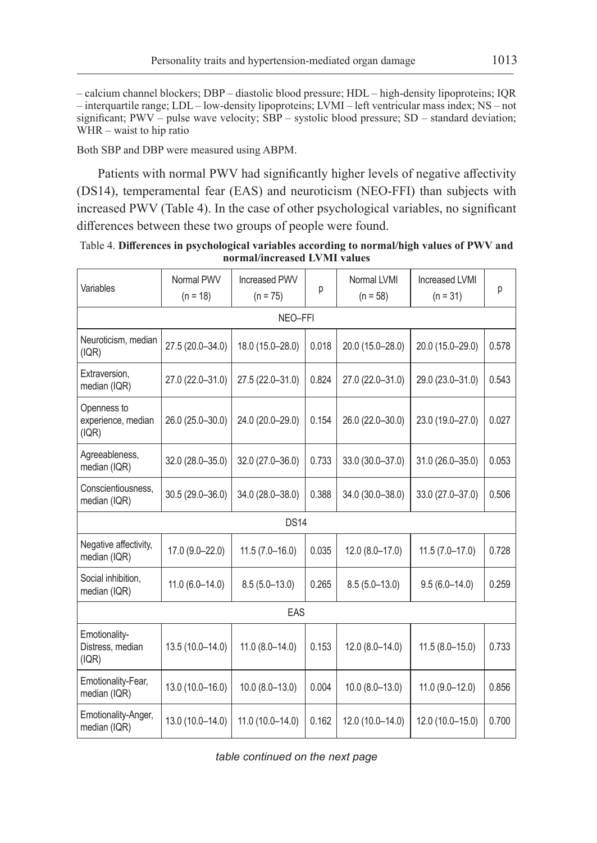– calcium channel blockers; DBP – diastolic blood pressure; HDL – high-density lipoproteins; IQR – interquartile range; LDL – low-density lipoproteins; LVMI – left ventricular mass index; NS – not significant;  $PWV$  – pulse wave velocity;  $\overline{SBP}$  – systolic blood pressure;  $SD$  – standard deviation; WHR – waist to hip ratio

Both SBP and DBP were measured using ABPM.

Patients with normal PWV had significantly higher levels of negative affectivity (DS14), temperamental fear (EAS) and neuroticism (NEO-FFI) than subjects with increased PWV (Table 4). In the case of other psychological variables, no significant differences between these two groups of people were found.

| Table 4. Differences in psychological variables according to normal/high values of PWV and |                              |  |  |
|--------------------------------------------------------------------------------------------|------------------------------|--|--|
|                                                                                            | normal/increased LVMI values |  |  |

| Variables                                  | Normal PWV<br>$(n = 18)$ | <b>Increased PWV</b><br>$(n = 75)$ | р     | Normal LVMI<br>$(n = 58)$ | <b>Increased LVMI</b><br>$(n = 31)$ | р     |
|--------------------------------------------|--------------------------|------------------------------------|-------|---------------------------|-------------------------------------|-------|
| NEO-FFI                                    |                          |                                    |       |                           |                                     |       |
| Neuroticism, median<br>(IQR)               | 27.5 (20.0-34.0)         | 18.0 (15.0-28.0)                   | 0.018 | 20.0 (15.0-28.0)          | 20.0 (15.0-29.0)                    | 0.578 |
| Extraversion.<br>median (IQR)              | 27.0 (22.0-31.0)         | 27.5 (22.0-31.0)                   | 0.824 | 27.0 (22.0-31.0)          | 29.0 (23.0-31.0)                    | 0.543 |
| Openness to<br>experience, median<br>(IQR) | 26.0 (25.0-30.0)         | 24.0 (20.0-29.0)                   | 0.154 | 26.0 (22.0-30.0)          | 23.0 (19.0-27.0)                    | 0.027 |
| Agreeableness,<br>median (IQR)             | 32.0 (28.0-35.0)         | 32.0 (27.0-36.0)                   | 0.733 | 33.0 (30.0-37.0)          | 31.0 (26.0-35.0)                    | 0.053 |
| Conscientiousness.<br>median (IQR)         | 30.5 (29.0-36.0)         | 34.0 (28.0-38.0)                   | 0.388 | 34.0 (30.0-38.0)          | 33.0 (27.0-37.0)                    | 0.506 |
|                                            |                          | <b>DS14</b>                        |       |                           |                                     |       |
| Negative affectivity,<br>median (IQR)      | 17.0 (9.0-22.0)          | $11.5(7.0-16.0)$                   | 0.035 | 12.0 (8.0-17.0)           | $11.5(7.0-17.0)$                    | 0.728 |
| Social inhibition,<br>median (IQR)         | $11.0(6.0-14.0)$         | $8.5(5.0-13.0)$                    | 0.265 | $8.5(5.0-13.0)$           | $9.5(6.0-14.0)$                     | 0.259 |
|                                            |                          | EAS                                |       |                           |                                     |       |
| Emotionality-<br>Distress, median<br>(IQR) | 13.5 (10.0-14.0)         | $11.0 (8.0 - 14.0)$                | 0.153 | $12.0(8.0-14.0)$          | $11.5(8.0-15.0)$                    | 0.733 |
| Emotionality-Fear,<br>median (IQR)         | 13.0 (10.0-16.0)         | $10.0 (8.0 - 13.0)$                | 0.004 | $10.0 (8.0 - 13.0)$       | $11.0(9.0-12.0)$                    | 0.856 |
| Emotionality-Anger,<br>median (IQR)        | 13.0 (10.0-14.0)         | 11.0 (10.0-14.0)                   | 0.162 | 12.0 (10.0-14.0)          | 12.0 (10.0-15.0)                    | 0.700 |

*table continued on the next page*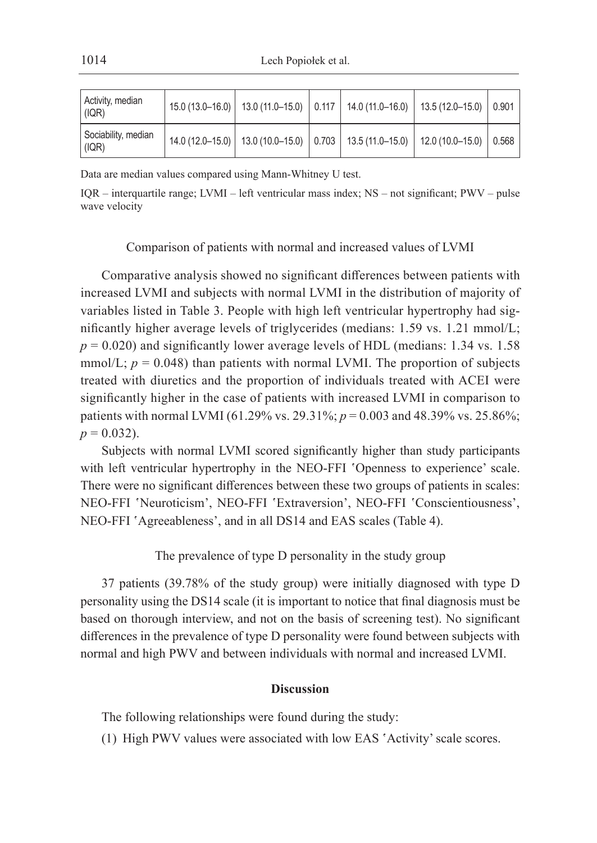| Activity, median<br>(IQR)    |  |  | $15.0(13.0-16.0)$ 13.0 $(11.0-15.0)$ 0.117 14.0 $(11.0-16.0)$ 13.5 $(12.0-15.0)$ 0.901  |  |
|------------------------------|--|--|-----------------------------------------------------------------------------------------|--|
| Sociability, median<br>(IQR) |  |  | $14.0(12.0-15.0)$   13.0(10.0-15.0)   0.703   13.5(11.0-15.0)   12.0(10.0-15.0)   0.568 |  |

Data are median values compared using Mann-Whitney U test.

IQR – interquartile range; LVMI – left ventricular mass index; NS – not significant; PWV – pulse wave velocity

#### Comparison of patients with normal and increased values of LVMI

Comparative analysis showed no significant differences between patients with increased LVMI and subjects with normal LVMI in the distribution of majority of variables listed in Table 3. People with high left ventricular hypertrophy had significantly higher average levels of triglycerides (medians: 1.59 vs. 1.21 mmol/L;  $p = 0.020$ ) and significantly lower average levels of HDL (medians: 1.34 vs. 1.58) mmol/L;  $p = 0.048$ ) than patients with normal LVMI. The proportion of subjects treated with diuretics and the proportion of individuals treated with ACEI were significantly higher in the case of patients with increased LVMI in comparison to patients with normal LVMI (61.29% vs. 29.31%; *p* = 0.003 and 48.39% vs. 25.86%;  $p = 0.032$ ).

Subjects with normal LVMI scored significantly higher than study participants with left ventricular hypertrophy in the NEO-FFI 'Openness to experience' scale. There were no significant differences between these two groups of patients in scales: NEO-FFI 'Neuroticism', NEO-FFI 'Extraversion', NEO-FFI 'Conscientiousness', NEO-FFI 'Agreeableness', and in all DS14 and EAS scales (Table 4).

## The prevalence of type D personality in the study group

37 patients (39.78% of the study group) were initially diagnosed with type D personality using the DS14 scale (it is important to notice that final diagnosis must be based on thorough interview, and not on the basis of screening test). No significant differences in the prevalence of type D personality were found between subjects with normal and high PWV and between individuals with normal and increased LVMI.

## **Discussion**

The following relationships were found during the study:

(1) High PWV values were associated with low EAS 'Activity' scale scores.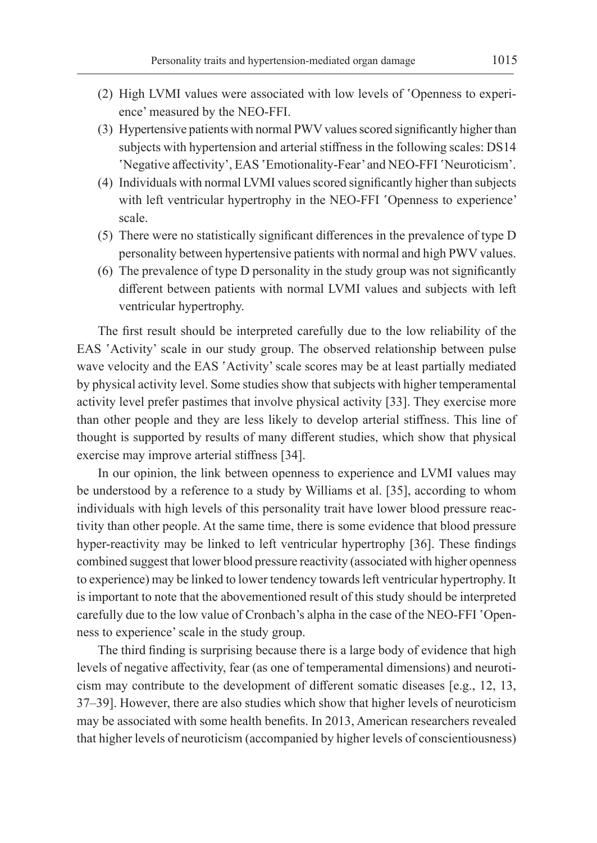- (2) High LVMI values were associated with low levels of 'Openness to experience' measured by the NEO-FFI.
- (3) Hypertensive patients with normal PWV values scored significantly higher than subjects with hypertension and arterial stiffness in the following scales: DS14 'Negative affectivity', EAS 'Emotionality-Fear' and NEO-FFI 'Neuroticism'.
- (4) Individuals with normal LVMI values scored significantly higher than subjects with left ventricular hypertrophy in the NEO-FFI 'Openness to experience' scale.
- (5) There were no statistically significant differences in the prevalence of type D personality between hypertensive patients with normal and high PWV values.
- (6) The prevalence of type D personality in the study group was not significantly different between patients with normal LVMI values and subjects with left ventricular hypertrophy.

The first result should be interpreted carefully due to the low reliability of the EAS 'Activity' scale in our study group. The observed relationship between pulse wave velocity and the EAS 'Activity' scale scores may be at least partially mediated by physical activity level. Some studies show that subjects with higher temperamental activity level prefer pastimes that involve physical activity [33]. They exercise more than other people and they are less likely to develop arterial stiffness. This line of thought is supported by results of many different studies, which show that physical exercise may improve arterial stiffness [34].

In our opinion, the link between openness to experience and LVMI values may be understood by a reference to a study by Williams et al. [35], according to whom individuals with high levels of this personality trait have lower blood pressure reactivity than other people. At the same time, there is some evidence that blood pressure hyper-reactivity may be linked to left ventricular hypertrophy [36]. These findings combined suggest that lower blood pressure reactivity (associated with higher openness to experience) may be linked to lower tendency towards left ventricular hypertrophy. It is important to note that the abovementioned result of this study should be interpreted carefully due to the low value of Cronbach's alpha in the case of the NEO-FFI 'Openness to experience' scale in the study group.

The third finding is surprising because there is a large body of evidence that high levels of negative affectivity, fear (as one of temperamental dimensions) and neuroticism may contribute to the development of different somatic diseases [e.g., 12, 13, 37–39]. However, there are also studies which show that higher levels of neuroticism may be associated with some health benefits. In 2013, American researchers revealed that higher levels of neuroticism (accompanied by higher levels of conscientiousness)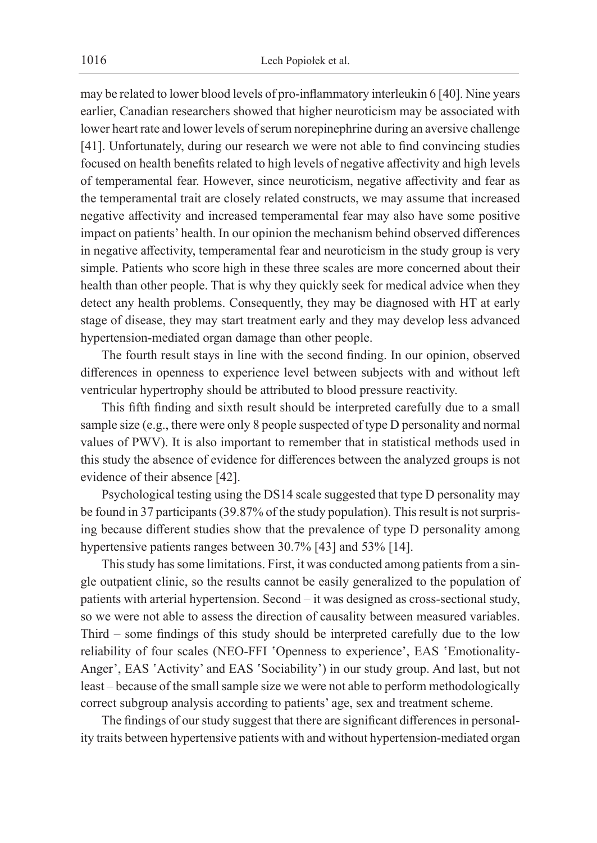may be related to lower blood levels of pro-inflammatory interleukin 6 [40]. Nine years earlier, Canadian researchers showed that higher neuroticism may be associated with lower heart rate and lower levels of serum norepinephrine during an aversive challenge [41]. Unfortunately, during our research we were not able to find convincing studies focused on health benefits related to high levels of negative affectivity and high levels of temperamental fear. However, since neuroticism, negative affectivity and fear as the temperamental trait are closely related constructs, we may assume that increased negative affectivity and increased temperamental fear may also have some positive impact on patients' health. In our opinion the mechanism behind observed differences in negative affectivity, temperamental fear and neuroticism in the study group is very simple. Patients who score high in these three scales are more concerned about their health than other people. That is why they quickly seek for medical advice when they detect any health problems. Consequently, they may be diagnosed with HT at early stage of disease, they may start treatment early and they may develop less advanced hypertension-mediated organ damage than other people.

The fourth result stays in line with the second finding. In our opinion, observed differences in openness to experience level between subjects with and without left ventricular hypertrophy should be attributed to blood pressure reactivity.

This fifth finding and sixth result should be interpreted carefully due to a small sample size (e.g., there were only 8 people suspected of type D personality and normal values of PWV). It is also important to remember that in statistical methods used in this study the absence of evidence for differences between the analyzed groups is not evidence of their absence [42].

Psychological testing using the DS14 scale suggested that type D personality may be found in 37 participants (39.87% of the study population). This result is not surprising because different studies show that the prevalence of type D personality among hypertensive patients ranges between 30.7% [43] and 53% [14].

This study has some limitations. First, it was conducted among patients from a single outpatient clinic, so the results cannot be easily generalized to the population of patients with arterial hypertension. Second – it was designed as cross-sectional study, so we were not able to assess the direction of causality between measured variables. Third – some findings of this study should be interpreted carefully due to the low reliability of four scales (NEO-FFI 'Openness to experience', EAS 'Emotionality-Anger', EAS 'Activity' and EAS 'Sociability') in our study group. And last, but not least – because of the small sample size we were not able to perform methodologically correct subgroup analysis according to patients' age, sex and treatment scheme.

The findings of our study suggest that there are significant differences in personality traits between hypertensive patients with and without hypertension-mediated organ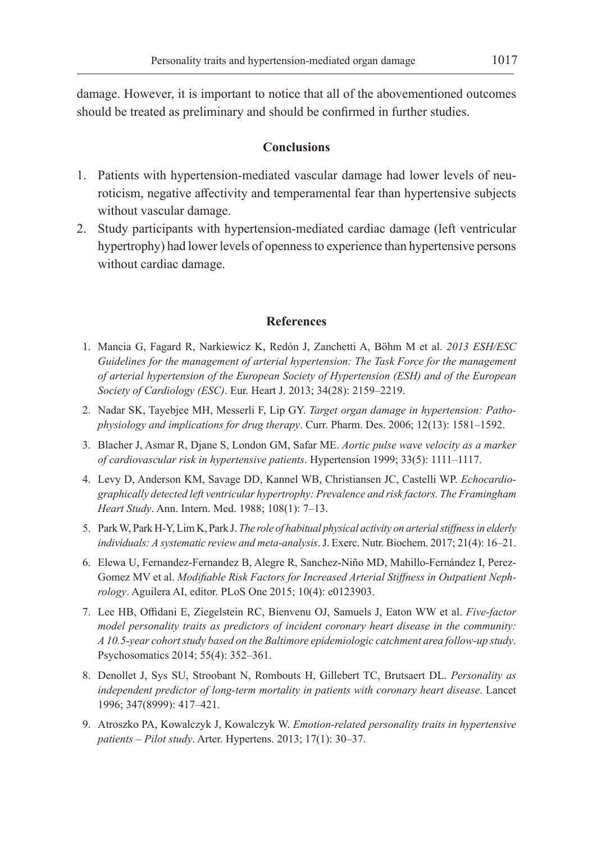damage. However, it is important to notice that all of the abovementioned outcomes should be treated as preliminary and should be confirmed in further studies.

## **Conclusions**

- 1. Patients with hypertension-mediated vascular damage had lower levels of neuroticism, negative affectivity and temperamental fear than hypertensive subjects without vascular damage.
- 2. Study participants with hypertension-mediated cardiac damage (left ventricular hypertrophy) had lower levels of openness to experience than hypertensive persons without cardiac damage.

## **References**

- 1. Mancia G, Fagard R, Narkiewicz K, Redón J, Zanchetti A, Böhm M et al. *2013 ESH/ESC Guidelines for the management of arterial hypertension: The Task Force for the management of arterial hypertension of the European Society of Hypertension (ESH) and of the European Society of Cardiology (ESC)*. Eur. Heart J. 2013; 34(28): 2159–2219.
- 2. Nadar SK, Tayebjee MH, Messerli F, Lip GY. *Target organ damage in hypertension: Pathophysiology and implications for drug therapy*. Curr. Pharm. Des. 2006; 12(13): 1581–1592.
- 3. Blacher J, Asmar R, Djane S, London GM, Safar ME. *Aortic pulse wave velocity as a marker of cardiovascular risk in hypertensive patients*. Hypertension 1999; 33(5): 1111–1117.
- 4. Levy D, Anderson KM, Savage DD, Kannel WB, Christiansen JC, Castelli WP. *Echocardiographically detected left ventricular hypertrophy: Prevalence and risk factors. The Framingham Heart Study*. Ann. Intern. Med. 1988; 108(1): 7–13.
- 5. Park W, Park H-Y, Lim K, Park J. *The role of habitual physical activity on arterial stiffness in elderly individuals: A systematic review and meta-analysis*. J. Exerc. Nutr. Biochem. 2017; 21(4): 16–21.
- 6. Elewa U, Fernandez-Fernandez B, Alegre R, Sanchez-Niño MD, Mahillo-Fernández I, Perez-Gomez MV et al. *Modifiable Risk Factors for Increased Arterial Stiffness in Outpatient Nephrology*. Aguilera AI, editor. PLoS One 2015; 10(4): e0123903.
- 7. Lee HB, Offidani E, Ziegelstein RC, Bienvenu OJ, Samuels J, Eaton WW et al. *Five-factor model personality traits as predictors of incident coronary heart disease in the community: A 10.5-year cohort study based on the Baltimore epidemiologic catchment area follow-up study*. Psychosomatics 2014; 55(4): 352–361.
- 8. Denollet J, Sys SU, Stroobant N, Rombouts H, Gillebert TC, Brutsaert DL. *Personality as independent predictor of long-term mortality in patients with coronary heart disease*. Lancet 1996; 347(8999): 417–421.
- 9. Atroszko PA, Kowalczyk J, Kowalczyk W. *Emotion-related personality traits in hypertensive patients – Pilot study*. Arter. Hypertens. 2013; 17(1): 30–37.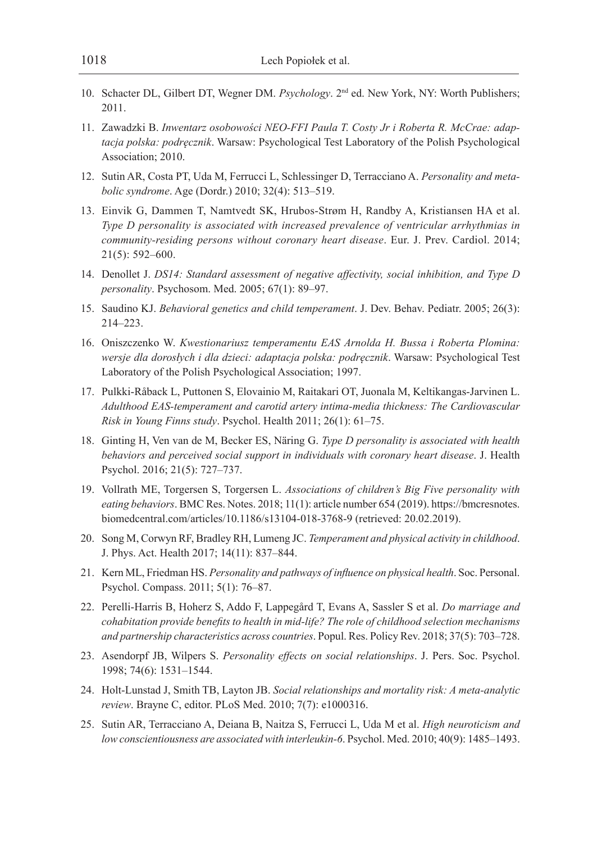- 10. Schacter DL, Gilbert DT, Wegner DM. *Psychology*. 2nd ed. New York, NY: Worth Publishers; 2011.
- 11. Zawadzki B. *Inwentarz osobowości NEO-FFI Paula T. Costy Jr i Roberta R. McCrae: adaptacja polska: podręcznik*. Warsaw: Psychological Test Laboratory of the Polish Psychological Association; 2010.
- 12. Sutin AR, Costa PT, Uda M, Ferrucci L, Schlessinger D, Terracciano A. *Personality and metabolic syndrome*. Age (Dordr.) 2010; 32(4): 513–519.
- 13. Einvik G, Dammen T, Namtvedt SK, Hrubos-Strøm H, Randby A, Kristiansen HA et al. *Type D personality is associated with increased prevalence of ventricular arrhythmias in community-residing persons without coronary heart disease*. Eur. J. Prev. Cardiol. 2014; 21(5): 592–600.
- 14. Denollet J. *DS14: Standard assessment of negative affectivity, social inhibition, and Type D personality*. Psychosom. Med. 2005; 67(1): 89–97.
- 15. Saudino KJ. *Behavioral genetics and child temperament*. J. Dev. Behav. Pediatr. 2005; 26(3): 214–223.
- 16. Oniszczenko W. *Kwestionariusz temperamentu EAS Arnolda H. Bussa i Roberta Plomina: wersje dla dorosłych i dla dzieci: adaptacja polska: podręcznik*. Warsaw: Psychological Test Laboratory of the Polish Psychological Association; 1997.
- 17. Pulkki-Råback L, Puttonen S, Elovainio M, Raitakari OT, Juonala M, Keltikangas-Jarvinen L. *Adulthood EAS-temperament and carotid artery intima-media thickness: The Cardiovascular Risk in Young Finns study*. Psychol. Health 2011; 26(1): 61–75.
- 18. Ginting H, Ven van de M, Becker ES, Näring G. *Type D personality is associated with health behaviors and perceived social support in individuals with coronary heart disease*. J. Health Psychol. 2016; 21(5): 727–737.
- 19. Vollrath ME, Torgersen S, Torgersen L. *Associations of children's Big Five personality with eating behaviors*. BMC Res. Notes. 2018; 11(1): article number 654 (2019). https://bmcresnotes. biomedcentral.com/articles/10.1186/s13104-018-3768-9 (retrieved: 20.02.2019).
- 20. Song M, Corwyn RF, Bradley RH, Lumeng JC. *Temperament and physical activity in childhood*. J. Phys. Act. Health 2017; 14(11): 837–844.
- 21. Kern ML, Friedman HS. *Personality and pathways of influence on physical health*. Soc. Personal. Psychol. Compass. 2011; 5(1): 76–87.
- 22. Perelli-Harris B, Hoherz S, Addo F, Lappegård T, Evans A, Sassler S et al. *Do marriage and cohabitation provide benefits to health in mid-life? The role of childhood selection mechanisms and partnership characteristics across countries*. Popul. Res. Policy Rev. 2018; 37(5): 703–728.
- 23. Asendorpf JB, Wilpers S. *Personality effects on social relationships*. J. Pers. Soc. Psychol. 1998; 74(6): 1531–1544.
- 24. Holt-Lunstad J, Smith TB, Layton JB. *Social relationships and mortality risk: A meta-analytic review*. Brayne C, editor. PLoS Med. 2010; 7(7): e1000316.
- 25. Sutin AR, Terracciano A, Deiana B, Naitza S, Ferrucci L, Uda M et al. *High neuroticism and low conscientiousness are associated with interleukin-6*. Psychol. Med. 2010; 40(9): 1485–1493.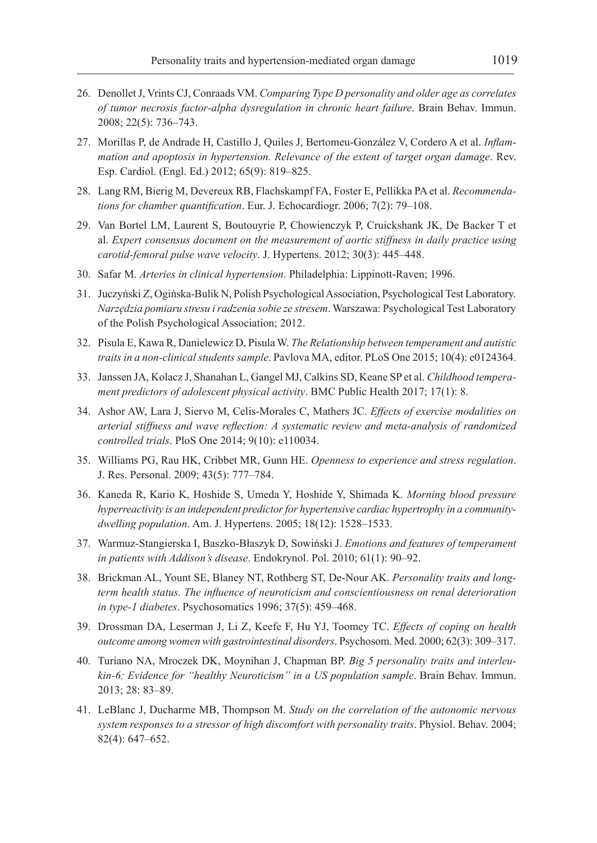- 26. Denollet J, Vrints CJ, Conraads VM. *Comparing Type D personality and older age as correlates of tumor necrosis factor-alpha dysregulation in chronic heart failure*. Brain Behav. Immun. 2008; 22(5): 736–743.
- 27. Morillas P, de Andrade H, Castillo J, Quiles J, Bertomeu-González V, Cordero A et al. *Inflammation and apoptosis in hypertension. Relevance of the extent of target organ damage*. Rev. Esp. Cardiol. (Engl. Ed.) 2012; 65(9): 819–825.
- 28. Lang RM, Bierig M, Devereux RB, Flachskampf FA, Foster E, Pellikka PA et al. *Recommendations for chamber quantification*. Eur. J. Echocardiogr. 2006; 7(2): 79–108.
- 29. Van Bortel LM, Laurent S, Boutouyrie P, Chowienczyk P, Cruickshank JK, De Backer T et al. *Expert consensus document on the measurement of aortic stiffness in daily practice using carotid-femoral pulse wave velocity*. J. Hypertens. 2012; 30(3): 445–448.
- 30. Safar M. *Arteries in clinical hypertension*. Philadelphia: Lippinott-Raven; 1996.
- 31. Juczyński Z, Ogińska-Bulik N, Polish Psychological Association, Psychological Test Laboratory. *Narzędzia pomiaru stresu i radzenia sobie ze stresem*. Warszawa: Psychological Test Laboratory of the Polish Psychological Association; 2012.
- 32. Pisula E, Kawa R, Danielewicz D, Pisula W. *The Relationship between temperament and autistic traits in a non-clinical students sample*. Pavlova MA, editor. PLoS One 2015; 10(4): e0124364.
- 33. Janssen JA, Kolacz J, Shanahan L, Gangel MJ, Calkins SD, Keane SP et al. *Childhood temperament predictors of adolescent physical activity*. BMC Public Health 2017; 17(1): 8.
- 34. Ashor AW, Lara J, Siervo M, Celis-Morales C, Mathers JC. *Effects of exercise modalities on arterial stiffness and wave reflection: A systematic review and meta-analysis of randomized controlled trials*. PloS One 2014; 9(10): e110034.
- 35. Williams PG, Rau HK, Cribbet MR, Gunn HE. *Openness to experience and stress regulation*. J. Res. Personal. 2009; 43(5): 777–784.
- 36. Kaneda R, Kario K, Hoshide S, Umeda Y, Hoshide Y, Shimada K. *Morning blood pressure hyperreactivity is an independent predictor for hypertensive cardiac hypertrophy in a communitydwelling population*. Am. J. Hypertens. 2005; 18(12): 1528–1533.
- 37. Warmuz-Stangierska I, Baszko-Błaszyk D, Sowiński J. *Emotions and features of temperament in patients with Addison's disease*. Endokrynol. Pol. 2010; 61(1): 90–92.
- 38. Brickman AL, Yount SE, Blaney NT, Rothberg ST, De-Nour AK. *Personality traits and longterm health status. The influence of neuroticism and conscientiousness on renal deterioration in type-1 diabetes*. Psychosomatics 1996; 37(5): 459–468.
- 39. Drossman DA, Leserman J, Li Z, Keefe F, Hu YJ, Toomey TC. *Effects of coping on health outcome among women with gastrointestinal disorders*. Psychosom. Med. 2000; 62(3): 309–317.
- 40. Turiano NA, Mroczek DK, Moynihan J, Chapman BP. *Big 5 personality traits and interleukin-6: Evidence for "healthy Neuroticism" in a US population sample*. Brain Behav. Immun. 2013; 28: 83–89.
- 41. LeBlanc J, Ducharme MB, Thompson M. *Study on the correlation of the autonomic nervous system responses to a stressor of high discomfort with personality traits*. Physiol. Behav. 2004; 82(4): 647–652.